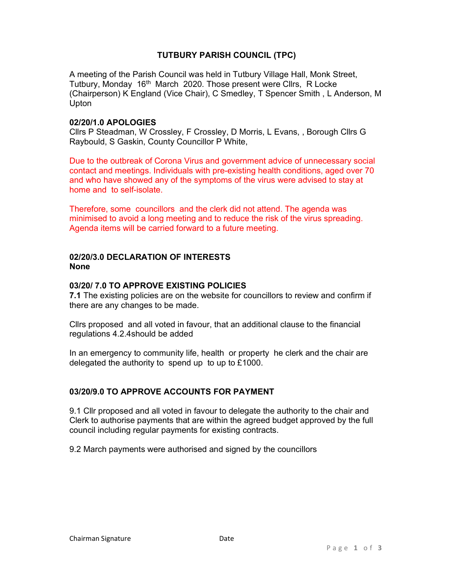# TUTBURY PARISH COUNCIL (TPC)

A meeting of the Parish Council was held in Tutbury Village Hall, Monk Street, Tutbury, Monday 16<sup>th</sup> March 2020. Those present were Cllrs, R Locke (Chairperson) K England (Vice Chair), C Smedley, T Spencer Smith , L Anderson, M Upton

## 02/20/1.0 APOLOGIES

Cllrs P Steadman, W Crossley, F Crossley, D Morris, L Evans, , Borough Cllrs G Raybould, S Gaskin, County Councillor P White,

Due to the outbreak of Corona Virus and government advice of unnecessary social contact and meetings. Individuals with pre-existing health conditions, aged over 70 and who have showed any of the symptoms of the virus were advised to stay at home and to self-isolate.

Therefore, some councillors and the clerk did not attend. The agenda was minimised to avoid a long meeting and to reduce the risk of the virus spreading. Agenda items will be carried forward to a future meeting.

### 02/20/3.0 DECLARATION OF INTERESTS None

## 03/20/ 7.0 TO APPROVE EXISTING POLICIES

7.1 The existing policies are on the website for councillors to review and confirm if there are any changes to be made.

Cllrs proposed and all voted in favour, that an additional clause to the financial regulations 4.2.4should be added

In an emergency to community life, health or property he clerk and the chair are delegated the authority to spend up to up to £1000.

## 03/20/9.0 TO APPROVE ACCOUNTS FOR PAYMENT

9.1 Cllr proposed and all voted in favour to delegate the authority to the chair and Clerk to authorise payments that are within the agreed budget approved by the full council including regular payments for existing contracts.

9.2 March payments were authorised and signed by the councillors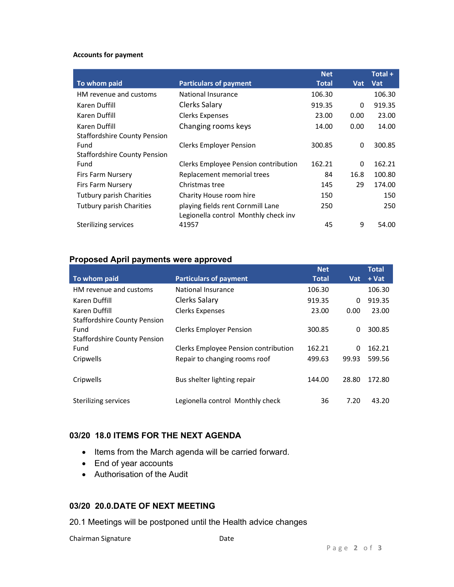#### Accounts for payment

|                                     |                                      | <b>Net</b>   |      | Total +    |
|-------------------------------------|--------------------------------------|--------------|------|------------|
| To whom paid                        | <b>Particulars of payment</b>        | <b>Total</b> | Vat  | <b>Vat</b> |
| HM revenue and customs              | National Insurance                   | 106.30       |      | 106.30     |
| Karen Duffill                       | Clerks Salary                        | 919.35       | 0    | 919.35     |
| Karen Duffill                       | <b>Clerks Expenses</b>               | 23.00        | 0.00 | 23.00      |
| Karen Duffill                       | Changing rooms keys                  | 14.00        | 0.00 | 14.00      |
| <b>Staffordshire County Pension</b> |                                      |              |      |            |
| Fund                                | <b>Clerks Employer Pension</b>       | 300.85       | 0    | 300.85     |
| <b>Staffordshire County Pension</b> |                                      |              |      |            |
| Fund                                | Clerks Employee Pension contribution | 162.21       | 0    | 162.21     |
| Firs Farm Nursery                   | Replacement memorial trees           | 84           | 16.8 | 100.80     |
| Firs Farm Nursery                   | Christmas tree                       | 145          | 29   | 174.00     |
| <b>Tutbury parish Charities</b>     | Charity House room hire              | 150          |      | 150        |
| <b>Tutbury parish Charities</b>     | playing fields rent Cornmill Lane    | 250          |      | 250        |
|                                     | Legionella control Monthly check inv |              |      |            |
| Sterilizing services                | 41957                                | 45           | 9    | 54.00      |

# Proposed April payments were approved

|                                     |                                      | <b>Net</b> |       | <b>Total</b> |
|-------------------------------------|--------------------------------------|------------|-------|--------------|
| To whom paid                        | <b>Particulars of payment</b>        | Total      | Vat   | $+$ Vat      |
| HM revenue and customs              | National Insurance                   | 106.30     |       | 106.30       |
| Karen Duffill                       | Clerks Salary                        | 919.35     | 0     | 919.35       |
| Karen Duffill                       | <b>Clerks Expenses</b>               | 23.00      | 0.00  | 23.00        |
| <b>Staffordshire County Pension</b> |                                      |            |       |              |
| Fund                                | <b>Clerks Employer Pension</b>       | 300.85     | 0     | 300.85       |
| <b>Staffordshire County Pension</b> |                                      |            |       |              |
| Fund                                | Clerks Employee Pension contribution | 162.21     | 0     | 162.21       |
| Cripwells                           | Repair to changing rooms roof        | 499.63     | 99.93 | 599.56       |
|                                     |                                      |            |       |              |
| Cripwells                           | Bus shelter lighting repair          | 144.00     | 28.80 | 172.80       |
|                                     |                                      |            |       |              |
| Sterilizing services                | Legionella control Monthly check     | 36         | 7.20  | 43.20        |
|                                     |                                      |            |       |              |

## 03/20 18.0 ITEMS FOR THE NEXT AGENDA

- Items from the March agenda will be carried forward.
- End of year accounts
- Authorisation of the Audit

# 03/20 20.0.DATE OF NEXT MEETING

20.1 Meetings will be postponed until the Health advice changes

| Chairman Signature | Date |
|--------------------|------|
|                    |      |